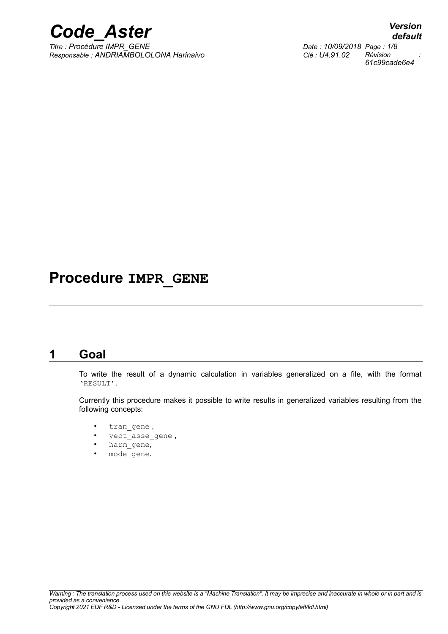

*Titre : Procédure IMPR\_GENE Date : 10/09/2018 Page : 1/8 Responsable : ANDRIAMBOLOLONA Harinaivo Clé : U4.91.02 Révision :*

# **Procedure IMPR\_GENE**

### **1 Goal**

To write the result of a dynamic calculation in variables generalized on a file, with the format 'RESULT'.

Currently this procedure makes it possible to write results in generalized variables resulting from the following concepts:

- tran gene,
- vect\_asse\_gene ,
- harm\_gene,
- mode gene.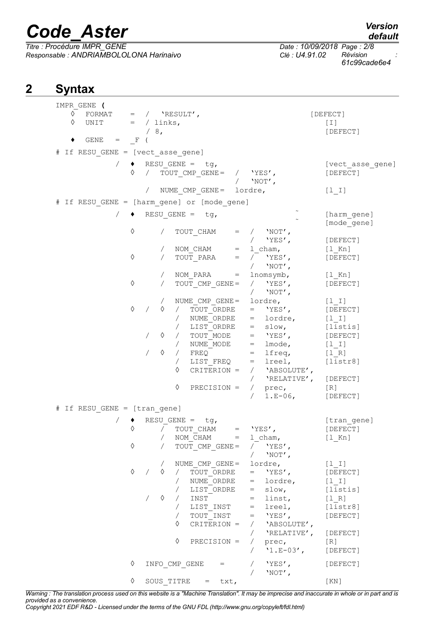*Responsable : ANDRIAMBOLOLONA Harinaivo Clé : U4.91.02 Révision :*

*Titre : Procédure IMPR\_GENE Date : 10/09/2018 Page : 2/8 61c99cade6e4*

# **2 Syntax**

| IMPR GENE (<br>♦<br>♦        |              | FORMAT = $/$ 'RESULT',<br>UNIT $=$ / links,<br>/8,                                                                   | [DEFECT]<br>[1]<br>[DEFECT]  |
|------------------------------|--------------|----------------------------------------------------------------------------------------------------------------------|------------------------------|
|                              | $GENE = F$ ( |                                                                                                                      |                              |
|                              |              | # If RESU GENE = [vect_asse_gene]                                                                                    |                              |
|                              | ♦            | $/ \rightarrow$ RESU GENE = tg,<br>$\overline{\text{TOUT}}\_\text{CMP}\_\text{GENE} = / \text{YES}',$<br>/ $'$ NOT', | [vect asse gene]<br>[DEFECT] |
|                              |              | NUME CMP GENE= lordre,                                                                                               | $[1 1]$                      |
|                              |              | # If RESU GENE = [harm gene] or [mode gene]                                                                          |                              |
|                              |              | $/ \rightarrow$ RESU GENE = tg,                                                                                      | [harm gene]                  |
|                              |              |                                                                                                                      | [mode gene]                  |
|                              | ♦            | $\sqrt{2}$<br>TOUT_CHAM<br>$=$ / $'$ NOT',                                                                           |                              |
|                              |              | / $'YES'$ ,                                                                                                          | [DEFECT]                     |
|                              |              | NOM CHAM<br>$=$ 1 cham,                                                                                              | [1 Kn]                       |
|                              | ♦            | TOUT PARA<br>/ $'YES'$ ,<br>$=$                                                                                      | [DEFECT]                     |
|                              |              | / $'NOT'$ ,<br>NOM PARA<br>lnomsymb,                                                                                 |                              |
|                              | $\Diamond$   | $=$<br>$\sqrt{2}$<br>/ $'YES'$ ,<br>TOUT CMP_GENE =                                                                  | $[1$ Kn]<br>[DEFECT]         |
|                              |              | $'NOT'$ ,<br>$\sqrt{2}$                                                                                              |                              |
|                              |              | lordre,<br>$\sqrt{2}$                                                                                                | $[1  I]$                     |
|                              | ♦            | NUME_CMP_GENE =<br>/  TOUT_ORDRE<br>$=$ 'YES',<br>♦                                                                  | [DEFECT]                     |
|                              |              | / NUME_ORDRE<br>= lordre,                                                                                            | $[1 1]$                      |
|                              |              | / LIST ORDRE<br>$=$ slow,                                                                                            | [listis]                     |
|                              |              | $\Diamond$ / $TOUT$ MODE<br>$=$ 'YES',                                                                               | [DEFECT]                     |
|                              |              | / NUME MODE<br>$=$ lmode, $[1 1]$                                                                                    |                              |
|                              |              | ♦<br>$/$ FREQ<br>$=$ lfreq, $[1 R]$                                                                                  | [liststr8]                   |
|                              |              | LIST FREQ<br>= lreel,<br>$\sqrt{2}$<br>♦<br>CRITERION =<br>/ 'ABSOLUTE',                                             |                              |
|                              |              |                                                                                                                      | / 'RELATIVE', [DEFECT]       |
|                              |              | ♦<br>$PRECISION =$                                                                                                   | [R]                          |
|                              |              | / prec,<br>/ 1.E-06,                                                                                                 | [DEFECT]                     |
| # If RESU GENE = [tran gene] |              |                                                                                                                      |                              |
|                              |              | $RESU$ GENE = tg,                                                                                                    | [tran gene]                  |
|                              | ♦            | / $TOUT\_CHAM$ = $YES'$ ,                                                                                            | [DEFECT]                     |
|                              |              | / NOM CHAM<br>1 cham,                                                                                                | $[1_Kn]$                     |
|                              | ♦            | TOUT CMP GENE =<br>'YES',                                                                                            |                              |
|                              |              | $'NOT'$ ,                                                                                                            |                              |
|                              |              | NUME $CMP$ GENE =<br>lordre,                                                                                         | $[1  I]$                     |
|                              | $\Diamond$   | $'YES'$ ,<br>♦<br>TOUT ORDRE<br>$\sqrt{2}$<br>$=$                                                                    | [DEFECT]                     |
|                              |              | NUME ORDRE<br>lordre,<br>$=$                                                                                         | $[1 1]$                      |
|                              |              | slow,<br>LIST ORDRE<br>$\sqrt{2}$<br>$=$                                                                             | [listis]                     |
|                              |              | ♦<br>INST<br>linst,<br>$=$                                                                                           | $[1 R]$                      |
|                              |              | LIST INST<br>lreel,<br>$=$<br>$\sqrt{2}$<br>TOUT INST<br>$'$ YES $'$ ,<br>$=$<br>$\sqrt{2}$                          | [liststr8]                   |
|                              |              | ♦<br>CRITERION =<br>'ABSOLUTE',<br>$\sqrt{2}$                                                                        | [DEFECT]                     |
|                              |              | 'RELATIVE',                                                                                                          | [DEFECT]                     |
|                              |              | ♦<br>PRECISION =<br>$\sqrt{2}$<br>prec,                                                                              | [R]                          |
|                              |              | $'1.E-03'$ ,                                                                                                         | [DEFECT]                     |
|                              | ♦            | INFO CMP GENE<br>$'YES'$ ,<br>$=$<br>$'NOT'$ ,                                                                       | [DEFECT]                     |
|                              | ♦            | SOUS TITRE<br>txt,<br>$=$                                                                                            | [KN]                         |

*Warning : The translation process used on this website is a "Machine Translation". It may be imprecise and inaccurate in whole or in part and is provided as a convenience.*

*Copyright 2021 EDF R&D - Licensed under the terms of the GNU FDL (http://www.gnu.org/copyleft/fdl.html)*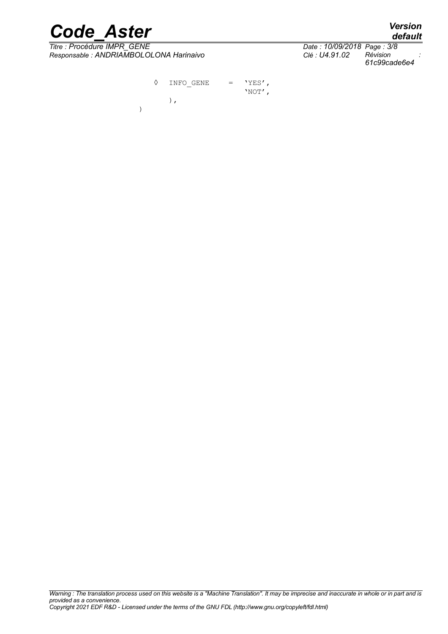*Titre : Procédure IMPR\_GENE Date : 10/09/2018 Page : 3/8 Responsable : ANDRIAMBOLOLONA Harinaivo Clé : U4.91.02 Révision :*

)

*default 61c99cade6e4*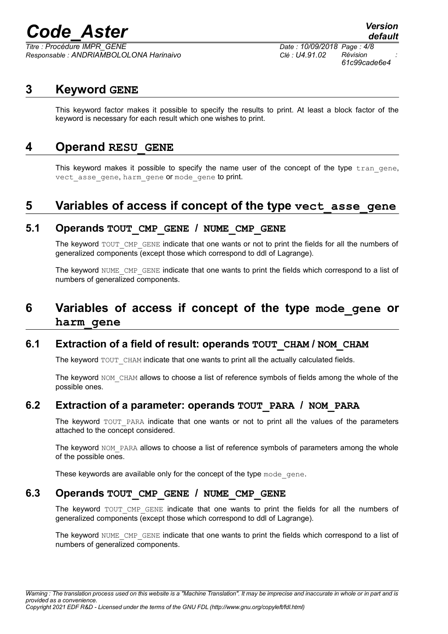*Titre : Procédure IMPR\_GENE Date : 10/09/2018 Page : 4/8 Responsable : ANDRIAMBOLOLONA Harinaivo Clé : U4.91.02 Révision :*

### **3 Keyword GENE**

This keyword factor makes it possible to specify the results to print. At least a block factor of the keyword is necessary for each result which one wishes to print.

### **4 Operand RESU\_GENE**

This keyword makes it possible to specify the name user of the concept of the type  $tran$  gene, vect asse gene, harm gene or mode gene to print.

### **5 Variables of access if concept of the type vect\_asse\_gene**

#### **5.1 Operands TOUT\_CMP\_GENE / NUME\_CMP\_GENE**

The keyword TOUT\_CMP\_GENE indicate that one wants or not to print the fields for all the numbers of generalized components (except those which correspond to ddl of Lagrange).

The keyword NUME CMP GENE indicate that one wants to print the fields which correspond to a list of numbers of generalized components.

### **6 Variables of access if concept of the type mode\_gene or harm\_gene**

### **6.1 Extraction of a field of result: operands TOUT\_CHAM / NOM\_CHAM**

The keyword TOUT CHAM indicate that one wants to print all the actually calculated fields.

The keyword NOM CHAM allows to choose a list of reference symbols of fields among the whole of the possible ones.

### **6.2 Extraction of a parameter: operands TOUT\_PARA / NOM\_PARA**

The keyword TOUT PARA indicate that one wants or not to print all the values of the parameters attached to the concept considered.

The keyword NOM PARA allows to choose a list of reference symbols of parameters among the whole of the possible ones.

These keywords are available only for the concept of the type mode gene.

### **6.3 Operands TOUT\_CMP\_GENE / NUME\_CMP\_GENE**

The keyword TOUT CMP GENE indicate that one wants to print the fields for all the numbers of generalized components (except those which correspond to ddl of Lagrange).

The keyword NUME CMP GENE indicate that one wants to print the fields which correspond to a list of numbers of generalized components.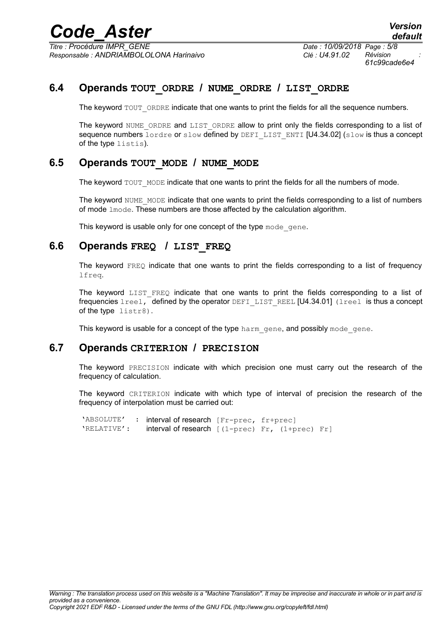*Titre : Procédure IMPR\_GENE Date : 10/09/2018 Page : 5/8 Responsable : ANDRIAMBOLOLONA Harinaivo Clé : U4.91.02 Révision :*

*61c99cade6e4*

### **6.4 Operands TOUT\_ORDRE / NUME\_ORDRE / LIST\_ORDRE**

The keyword TOUT ORDRE indicate that one wants to print the fields for all the sequence numbers.

The keyword NUME ORDRE and LIST ORDRE allow to print only the fields corresponding to a list of sequence numbers lordre or slow defined by DEFI LIST ENTI [U4.34.02] (slow is thus a concept of the type listis).

### **6.5 Operands TOUT\_MODE / NUME\_MODE**

The keyword TOUT\_MODE indicate that one wants to print the fields for all the numbers of mode.

The keyword NUME\_MODE indicate that one wants to print the fields corresponding to a list of numbers of mode lmode. These numbers are those affected by the calculation algorithm.

This keyword is usable only for one concept of the type mode gene.

### **6.6 Operands FREQ / LIST\_FREQ**

The keyword  $FEREQ$  indicate that one wants to print the fields corresponding to a list of frequency lfreq.

The keyword LIST FREQ indicate that one wants to print the fields corresponding to a list of frequencies lreel, defined by the operator DEFI\_LIST\_REEL [U4.34.01] (lreel is thus a concept of the type listr8).

This keyword is usable for a concept of the type harm gene, and possibly mode gene.

#### **6.7 Operands CRITERION / PRECISION**

The keyword PRECISION indicate with which precision one must carry out the research of the frequency of calculation.

The keyword CRITERION indicate with which type of interval of precision the research of the frequency of interpolation must be carried out:

'ABSOLUTE' : interval of research [Fr-prec, fr+prec] 'RELATIVE': interval of research [(1-prec) Fr, (1+prec) Fr]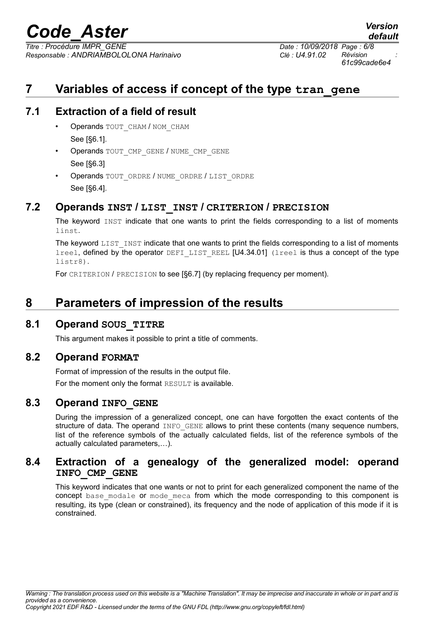*Titre : Procédure IMPR\_GENE Date : 10/09/2018 Page : 6/8 Responsable : ANDRIAMBOLOLONA Harinaivo Clé : U4.91.02 Révision :*

*61c99cade6e4*

*default*

## **7 Variables of access if concept of the type tran\_gene**

### **7.1 Extraction of a field of result**

- Operands TOUT CHAM / NOM CHAM See [§6.1].
- Operands TOUT CMP GENE / NUME CMP GENE See [§6.3]
- Operands TOUT\_ORDRE / NUME\_ORDRE / LIST\_ORDRE See [§6.4].

### **7.2 Operands INST / LIST\_INST / CRITERION / PRECISION**

The keyword INST indicate that one wants to print the fields corresponding to a list of moments linst.

The keyword LIST INST indicate that one wants to print the fields corresponding to a list of moments lreel, defined by the operator DEFILIST REEL [U4.34.01] (lreel is thus a concept of the type listr8).

For CRITERION / PRECISION to see [§6.7] (by replacing frequency per moment).

### **8 Parameters of impression of the results**

### **8.1 Operand SOUS\_TITRE**

This argument makes it possible to print a title of comments.

### **8.2 Operand FORMAT**

Format of impression of the results in the output file. For the moment only the format RESULT is available.

### **8.3 Operand INFO\_GENE**

During the impression of a generalized concept, one can have forgotten the exact contents of the structure of data. The operand INFO GENE allows to print these contents (many sequence numbers, list of the reference symbols of the actually calculated fields, list of the reference symbols of the actually calculated parameters,…).

### **8.4 Extraction of a genealogy of the generalized model: operand INFO\_CMP\_GENE**

This keyword indicates that one wants or not to print for each generalized component the name of the concept base modale or mode meca from which the mode corresponding to this component is resulting, its type (clean or constrained), its frequency and the node of application of this mode if it is constrained.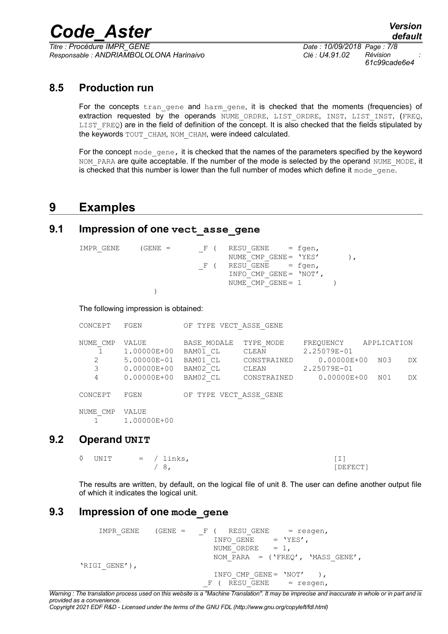*Titre : Procédure IMPR\_GENE Date : 10/09/2018 Page : 7/8 Responsable : ANDRIAMBOLOLONA Harinaivo Clé : U4.91.02 Révision :*

*61c99cade6e4*

### **8.5 Production run**

For the concepts tran gene and harm gene, it is checked that the moments (frequencies) of extraction requested by the operands NUME ORDRE, LIST ORDRE, INST, LIST INST, (FREQ,  $LIST$   $FREQ$ ) are in the field of definition of the concept. It is also checked that the fields stipulated by the keywords TOUT CHAM, NOM CHAM, were indeed calculated.

For the concept mode gene, it is checked that the names of the parameters specified by the keyword NOM PARA are quite acceptable. If the number of the mode is selected by the operand NUME\_MODE, it is checked that this number is lower than the full number of modes which define it mode  $qene$ .

### **9 Examples**

### **9.1 Impression of one vect\_asse\_gene**

| IMPR GENE | (GENE = | F (       | $RESU$ GENE $=$ fgen,     |  |
|-----------|---------|-----------|---------------------------|--|
|           |         |           | NUME CMP GENE = 'YES'     |  |
|           |         | i Etimolo | $RESU$ GENE = fgen,       |  |
|           |         |           | INFO CMP GENE = $'NOT'$ , |  |
|           |         |           | NUME CMP $GENE = 1$       |  |
|           |         |           |                           |  |

The following impression is obtained:

| CONCEPT  | FGEN                           |                           | TYPE VECT ASSE GENE  |                                |             |     |
|----------|--------------------------------|---------------------------|----------------------|--------------------------------|-------------|-----|
| NUME CMP | VALUE<br>1,00000E+00           | BASE MODALE<br>BAM01 CL   | TYPE MODE<br>CLEAN   | FREOUENCY<br>2.25079E-01       | APPLICATION |     |
| 2<br>3   | 5.00000E-01<br>$0.00000E + 00$ | BAM01 CL<br>BAM02 CL      | CONSTRAINED<br>CLEAN | $0.00000E + 00$<br>2.25079E-01 | N03         | DX. |
| 4        | $0.00000E + 00$                | BAM02 CL                  | CONSTRAINED          | $0.00000E + 00$                | NO1         | DX. |
| CONCEPT  | FGEN                           | TYPE VECT ASSE GENE<br>OF |                      |                                |             |     |
| NUME CMP | VALUE<br>1.00000E+00           |                           |                      |                                |             |     |

### **9.2 Operand UNIT**

| ◊ UNIT |  | $=$ / links, |          |
|--------|--|--------------|----------|
|        |  |              | [DEFECT] |

The results are written, by default, on the logical file of unit 8. The user can define another output file of which it indicates the logical unit.

### **9.3 Impression of one mode\_gene**

IMPR\_GENE (GENE = \_F ( RESU\_GENE = resgen,<br>INFO GENE = 'YES', INFO\_GENE =  $'Y$ <br>NUME\_ORDRE = 1, NUME<sup></sub>ORDRE</sup> NOM PARA =  $('FREQ', 'Mass GENE',$ 'RIGI GENE'), INFO CMP GENE =  $'NOT'$  ),  $F$  ( RESU GENE = resgen,

*Warning : The translation process used on this website is a "Machine Translation". It may be imprecise and inaccurate in whole or in part and is provided as a convenience.*

*Copyright 2021 EDF R&D - Licensed under the terms of the GNU FDL (http://www.gnu.org/copyleft/fdl.html)*